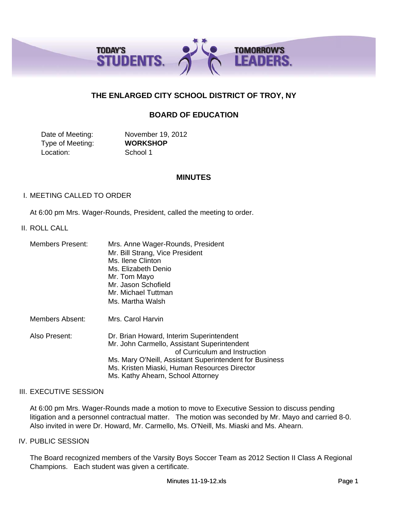

# **THE ENLARGED CITY SCHOOL DISTRICT OF TROY, NY**

# **BOARD OF EDUCATION**

Date of Meeting: November 19, 2012 Type of Meeting: **WORKSHOP** Location: School 1

### **MINUTES**

### I. MEETING CALLED TO ORDER

At 6:00 pm Mrs. Wager-Rounds, President, called the meeting to order.

#### II. ROLL CALL

| <b>Members Present:</b> | Mrs. Anne Wager-Rounds, President<br>Mr. Bill Strang, Vice President<br>Ms. Ilene Clinton<br>Ms. Elizabeth Denio<br>Mr. Tom Mayo<br>Mr. Jason Schofield<br>Mr. Michael Tuttman<br>Ms. Martha Walsh                                                                       |
|-------------------------|--------------------------------------------------------------------------------------------------------------------------------------------------------------------------------------------------------------------------------------------------------------------------|
| Members Absent:         | Mrs. Carol Harvin                                                                                                                                                                                                                                                        |
| Also Present:           | Dr. Brian Howard, Interim Superintendent<br>Mr. John Carmello, Assistant Superintendent<br>of Curriculum and Instruction<br>Ms. Mary O'Neill, Assistant Superintendent for Business<br>Ms. Kristen Miaski, Human Resources Director<br>Ms. Kathy Ahearn, School Attorney |

#### III. EXECUTIVE SESSION

At 6:00 pm Mrs. Wager-Rounds made a motion to move to Executive Session to discuss pending litigation and a personnel contractual matter. The motion was seconded by Mr. Mayo and carried 8-0. Also invited in were Dr. Howard, Mr. Carmello, Ms. O'Neill, Ms. Miaski and Ms. Ahearn.

### IV. PUBLIC SESSION

The Board recognized members of the Varsity Boys Soccer Team as 2012 Section II Class A Regional Champions. Each student was given a certificate.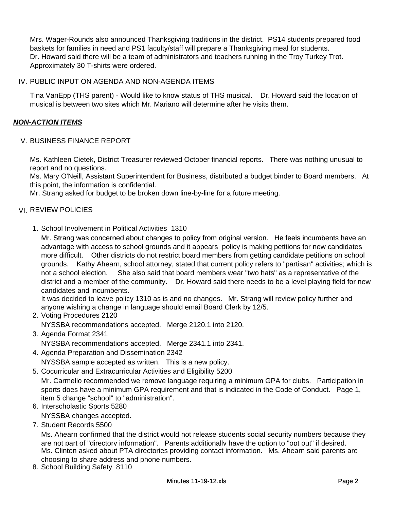Mrs. Wager-Rounds also announced Thanksgiving traditions in the district. PS14 students prepared food baskets for families in need and PS1 faculty/staff will prepare a Thanksgiving meal for students. Dr. Howard said there will be a team of administrators and teachers running in the Troy Turkey Trot. Approximately 30 T-shirts were ordered.

## IV. PUBLIC INPUT ON AGENDA AND NON-AGENDA ITEMS

Tina VanEpp (THS parent) - Would like to know status of THS musical. Dr. Howard said the location of musical is between two sites which Mr. Mariano will determine after he visits them.

## *NON-ACTION ITEMS*

### V. BUSINESS FINANCE REPORT

Ms. Kathleen Cietek, District Treasurer reviewed October financial reports. There was nothing unusual to report and no questions.

Ms. Mary O'Neill, Assistant Superintendent for Business, distributed a budget binder to Board members. At this point, the information is confidential.

Mr. Strang asked for budget to be broken down line-by-line for a future meeting.

## VI. REVIEW POLICIES

1. School Involvement in Political Activities 1310

Mr. Strang was concerned about changes to policy from original version. He feels incumbents have an advantage with access to school grounds and it appears policy is making petitions for new candidates more difficult. Other districts do not restrict board members from getting candidate petitions on school grounds. Kathy Ahearn, school attorney, stated that current policy refers to "partisan" activities; which is not a school election. She also said that board members wear "two hats" as a representative of the district and a member of the community. Dr. Howard said there needs to be a level playing field for new candidates and incumbents.

It was decided to leave policy 1310 as is and no changes. Mr. Strang will review policy further and anyone wishing a change in language should email Board Clerk by 12/5.

- 2. Voting Procedures 2120 NYSSBA recommendations accepted. Merge 2120.1 into 2120.
- 3. Agenda Format 2341 NYSSBA recommendations accepted. Merge 2341.1 into 2341.
- 4. Agenda Preparation and Dissemination 2342 NYSSBA sample accepted as written. This is a new policy.
- 5. Cocurricular and Extracurricular Activities and Eligibility 5200 Mr. Carmello recommended we remove language requiring a minimum GPA for clubs. Participation in sports does have a minimum GPA requirement and that is indicated in the Code of Conduct. Page 1, item 5 change "school" to "administration".
- 6. Interscholastic Sports 5280 NYSSBA changes accepted.
- 7. Student Records 5500

Ms. Ahearn confirmed that the district would not release students social security numbers because they are not part of "directory information". Parents additionally have the option to "opt out" if desired. Ms. Clinton asked about PTA directories providing contact information. Ms. Ahearn said parents are choosing to share address and phone numbers.

8. School Building Safety 8110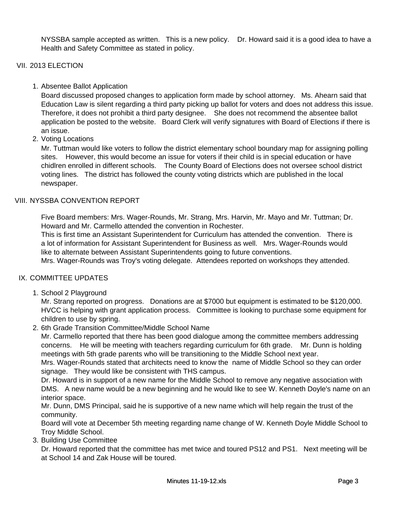NYSSBA sample accepted as written. This is a new policy. Dr. Howard said it is a good idea to have a Health and Safety Committee as stated in policy.

# VII. 2013 ELECTION

1. Absentee Ballot Application

Board discussed proposed changes to application form made by school attorney. Ms. Ahearn said that Education Law is silent regarding a third party picking up ballot for voters and does not address this issue. Therefore, it does not prohibit a third party designee. She does not recommend the absentee ballot application be posted to the website. Board Clerk will verify signatures with Board of Elections if there is an issue.

2. Voting Locations

Mr. Tuttman would like voters to follow the district elementary school boundary map for assigning polling sites. However, this would become an issue for voters if their child is in special education or have chidlren enrolled in different schools. The County Board of Elections does not oversee school district voting lines. The district has followed the county voting districts which are published in the local newspaper.

## VIII. NYSSBA CONVENTION REPORT

Five Board members: Mrs. Wager-Rounds, Mr. Strang, Mrs. Harvin, Mr. Mayo and Mr. Tuttman; Dr. Howard and Mr. Carmello attended the convention in Rochester.

This is first time an Assistant Superintendent for Curriculum has attended the convention. There is p a lot of information for Assistant Superintendent for Business as well. Mrs. Wager-Rounds would like to alternate between Assistant Superintendents going to future conventions.

Mrs. Wager-Rounds was Troy's voting delegate. Attendees reported on workshops they attended.

## IX. COMMITTEE UPDATES

1. School 2 Playground

Mr. Strang reported on progress. Donations are at \$7000 but equipment is estimated to be \$120,000. HVCC is helping with grant application process. Committee is looking to purchase some equipment for children to use by spring.

2. 6th Grade Transition Committee/Middle School Name

Mr. Carmello reported that there has been good dialogue among the committee members addressing concerns. He will be meeting with teachers regarding curriculum for 6th grade. Mr. Dunn is holding meetings with 5th grade parents who will be transitioning to the Middle School next year.

Mrs. Wager-Rounds stated that architects need to know the name of Middle School so they can order signage. They would like be consistent with THS campus.

Dr. Howard is in support of a new name for the Middle School to remove any negative association with DMS. A new name would be a new beginning and he would like to see W. Kenneth Doyle's name on an interior space.

Mr. Dunn, DMS Principal, said he is supportive of a new name which will help regain the trust of the community.

Board will vote at December 5th meeting regarding name change of W. Kenneth Doyle Middle School to Troy Middle School.

3. Building Use Committee

Dr. Howard reported that the committee has met twice and toured PS12 and PS1. Next meeting will be at School 14 and Zak House will be toured.